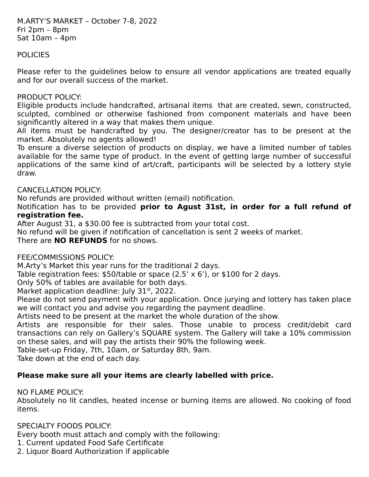## **POLICIES**

Please refer to the guidelines below to ensure all vendor applications are treated equally and for our overall success of the market.

#### PRODUCT POLICY:

Eligible products include handcrafted, artisanal items that are created, sewn, constructed, sculpted, combined or otherwise fashioned from component materials and have been significantly altered in a way that makes them unique.

All items must be handcrafted by you. The designer/creator has to be present at the market. Absolutely no agents allowed!

To ensure a diverse selection of products on display, we have a limited number of tables available for the same type of product. In the event of getting large number of successful applications of the same kind of art/craft, participants will be selected by a lottery style draw.

### CANCELLATION POLICY:

No refunds are provided without written (email) notification.

Notification has to be provided **prior to Agust 31st, in order for a full refund of registration fee.**

After August 31, a \$30.00 fee is subtracted from your total cost.

No refund will be given if notification of cancellation is sent 2 weeks of market. There are **NO REFUNDS** for no shows.

### FEE/COMMISSIONS POLICY:

M.Arty's Market this year runs for the traditional 2 days.

Table registration fees: \$50/table or space (2.5' x 6'), or \$100 for 2 days.

Only 50% of tables are available for both days.

Market application deadline: July  $31<sup>st</sup>$ , 2022.

Please do not send payment with your application. Once jurying and lottery has taken place we will contact you and advise you regarding the payment deadline.

Artists need to be present at the market the whole duration of the show.

Artists are responsible for their sales. Those unable to process credit/debit card transactions can rely on Gallery's SQUARE system. The Gallery will take a 10% commission on these sales, and will pay the artists their 90% the following week.

Table-set-up Friday, 7th, 10am, or Saturday 8th, 9am.

Take down at the end of each day.

# **Please make sure all your items are clearly labelled with price.**

### NO FLAME POLICY:

Absolutely no lit candles, heated incense or burning items are allowed. No cooking of food items.

### SPECIALTY FOODS POLICY:

Every booth must attach and comply with the following:

1. Current updated Food Safe Certificate

2. Liquor Board Authorization if applicable